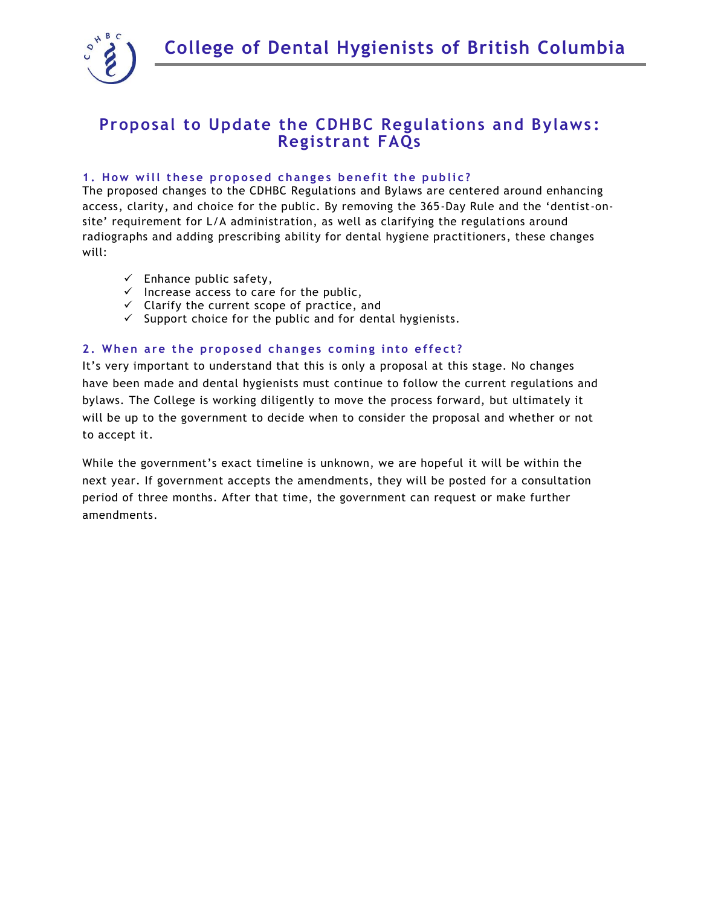



# **Proposal to Update the CDHBC Regulations and Bylaws : Registrant FAQs**

#### 1. How will these proposed changes benefit the public?

The proposed changes to the CDHBC Regulations and Bylaws are centered around enhancing access, clarity, and choice for the public. By removing the 365-Day Rule and the 'dentist-onsite' requirement for L/A administration, as well as clarifying the regulations around radiographs and adding prescribing ability for dental hygiene practitioners, these changes will:

- $\checkmark$  Enhance public safety,
- $\checkmark$  Increase access to care for the public,
- $\checkmark$  Clarify the current scope of practice, and
- $\checkmark$  Support choice for the public and for dental hygienists.

#### 2. When are the proposed changes coming into effect?

It's very important to understand that this is only a proposal at this stage. No changes have been made and dental hygienists must continue to follow the current regulations and bylaws. The College is working diligently to move the process forward, but ultimately it will be up to the government to decide when to consider the proposal and whether or not to accept it.

While the government's exact timeline is unknown, we are hopeful it will be within the next year. If government accepts the amendments, they will be posted for a consultation period of three months. After that time, the government can request or make further amendments.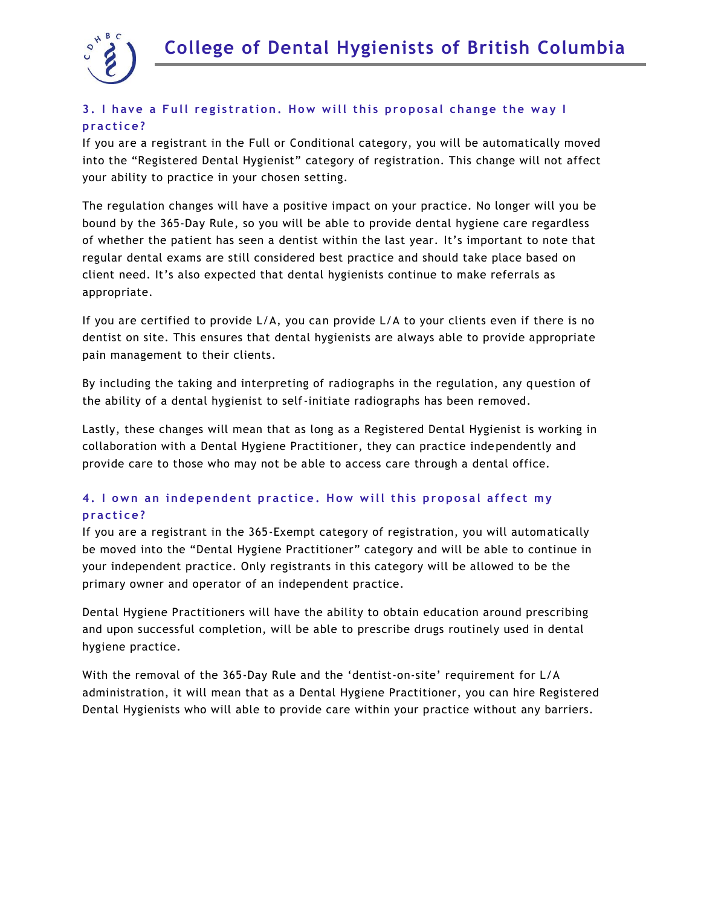

# **3.** I have a Full registration. How will this proposal change the way I **p ra ct i ce ?**

If you are a registrant in the Full or Conditional category, you will be automatically moved into the "Registered Dental Hygienist" category of registration. This change will not affect your ability to practice in your chosen setting.

The regulation changes will have a positive impact on your practice. No longer will you be bound by the 365-Day Rule, so you will be able to provide dental hygiene care regardless of whether the patient has seen a dentist within the last year. It's important to note that regular dental exams are still considered best practice and should take place based on client need. It's also expected that dental hygienists continue to make referrals as appropriate.

If you are certified to provide L/A, you can provide L/A to your clients even if there is no dentist on site. This ensures that dental hygienists are always able to provide appropriate pain management to their clients.

By including the taking and interpreting of radiographs in the regulation, any question of the ability of a dental hygienist to self-initiate radiographs has been removed.

Lastly, these changes will mean that as long as a Registered Dental Hygienist is working in collaboration with a Dental Hygiene Practitioner, they can practice inde pendently and provide care to those who may not be able to access care through a dental office.

# **4.** I own an independent practice. How will this proposal affect my **p ra ct i ce ?**

If you are a registrant in the 365-Exempt category of registration, you will automatically be moved into the "Dental Hygiene Practitioner" category and will be able to continue in your independent practice. Only registrants in this category will be allowed to be the primary owner and operator of an independent practice.

Dental Hygiene Practitioners will have the ability to obtain education around prescribing and upon successful completion, will be able to prescribe drugs routinely used in dental hygiene practice.

With the removal of the 365-Day Rule and the 'dentist-on-site' requirement for L/A administration, it will mean that as a Dental Hygiene Practitioner, you can hire Registered Dental Hygienists who will able to provide care within your practice without any barriers.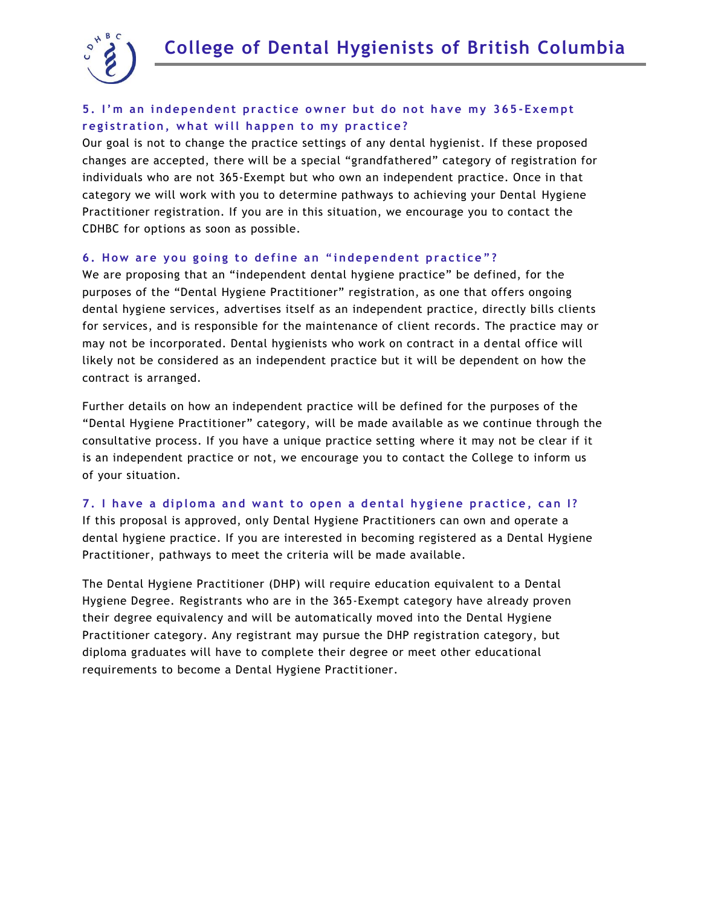

## **5 . I 'm a n i n de p en de n t p ra cti ce o w ne r b u t do no t h a ve m y 3 65 - E xe m p t**  registration, what will happen to my practice?

Our goal is not to change the practice settings of any dental hygienist. If these proposed changes are accepted, there will be a special "grandfathered" category of registration for individuals who are not 365-Exempt but who own an independent practice. Once in that category we will work with you to determine pathways to achieving your Dental Hygiene Practitioner registration. If you are in this situation, we encourage you to contact the CDHBC for options as soon as possible.

#### 6. How are you going to define an "independent practice"?

We are proposing that an "independent dental hygiene practice" be defined, for the purposes of the "Dental Hygiene Practitioner" registration, as one that offers ongoing dental hygiene services, advertises itself as an independent practice, directly bills clients for services, and is responsible for the maintenance of client records. The practice may or may not be incorporated. Dental hygienists who work on contract in a dental office will likely not be considered as an independent practice but it will be dependent on how the contract is arranged.

Further details on how an independent practice will be defined for the purposes of the "Dental Hygiene Practitioner" category, will be made available as we continue through the consultative process. If you have a unique practice setting where it may not be clear if it is an independent practice or not, we encourage you to contact the College to inform us of your situation.

#### **7.** I have a diploma and want to open a dental hygiene practice, can I?

If this proposal is approved, only Dental Hygiene Practitioners can own and operate a dental hygiene practice. If you are interested in becoming registered as a Dental Hygiene Practitioner, pathways to meet the criteria will be made available.

The Dental Hygiene Practitioner (DHP) will require education equivalent to a Dental Hygiene Degree. Registrants who are in the 365-Exempt category have already proven their degree equivalency and will be automatically moved into the Dental Hygiene Practitioner category. Any registrant may pursue the DHP registration category, but diploma graduates will have to complete their degree or meet other educational requirements to become a Dental Hygiene Practitioner.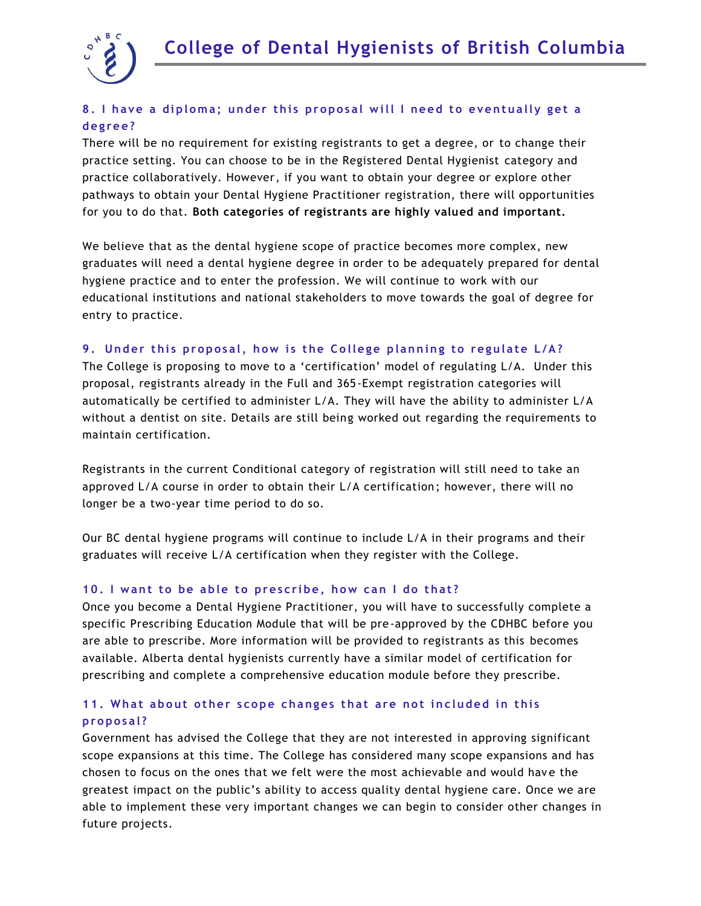

# **8.** I have a diploma; under this proposal will I need to eventually get a **d e g re e ?**

There will be no requirement for existing registrants to get a degree, or to change their practice setting. You can choose to be in the Registered Dental Hygienist category and practice collaboratively. However, if you want to obtain your degree or explore other pathways to obtain your Dental Hygiene Practitioner registration, there will opportunities for you to do that. **Both categories of registrants are highly valued and important.**

We believe that as the dental hygiene scope of practice becomes more complex, new graduates will need a dental hygiene degree in order to be adequately prepared for dental hygiene practice and to enter the profession. We will continue to work with our educational institutions and national stakeholders to move towards the goal of degree for entry to practice.

#### **9.** Under this proposal, how is the College planning to regulate L/A?

The College is proposing to move to a 'certification' model of regulating L/A. Under this proposal, registrants already in the Full and 365-Exempt registration categories will automatically be certified to administer L/A. They will have the ability to administer L/A without a dentist on site. Details are still being worked out regarding the requirements to maintain certification.

Registrants in the current Conditional category of registration will still need to take an approved L/A course in order to obtain their L/A certification; however, there will no longer be a two-year time period to do so.

Our BC dental hygiene programs will continue to include L/A in their programs and their graduates will receive L/A certification when they register with the College.

#### 10. I want to be able to prescribe, how can I do that?

Once you become a Dental Hygiene Practitioner, you will have to successfully complete a specific Prescribing Education Module that will be pre-approved by the CDHBC before you are able to prescribe. More information will be provided to registrants as this becomes available. Alberta dental hygienists currently have a similar model of certification for prescribing and complete a comprehensive education module before they prescribe.

## 11. What about other scope changes that are not included in this **p ro p o s a l?**

Government has advised the College that they are not interested in approving significant scope expansions at this time. The College has considered many scope expansions and has chosen to focus on the ones that we felt were the most achievable and would have the greatest impact on the public's ability to access quality dental hygiene care. Once we are able to implement these very important changes we can begin to consider other changes in future projects.